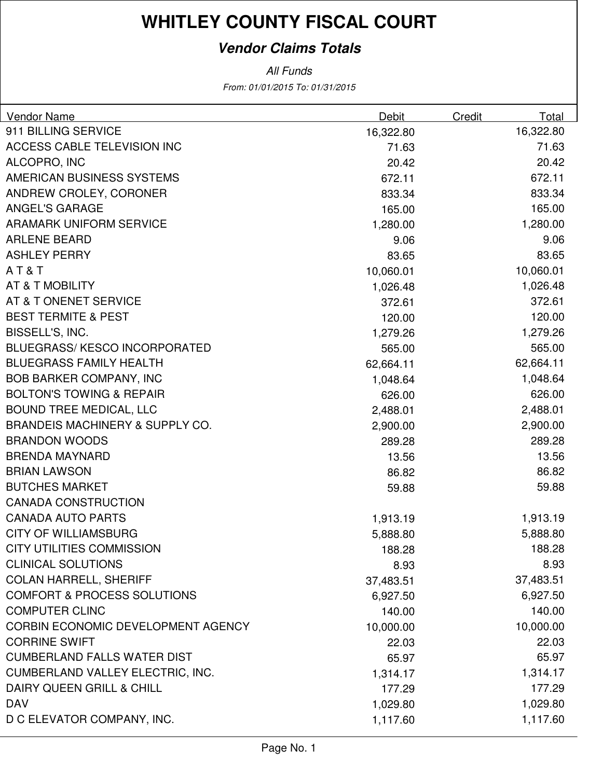## **Vendor Claims Totals**

From: 01/01/2015 To: 01/31/2015 All Funds

| Vendor Name                                | Debit     | Credit | Total     |
|--------------------------------------------|-----------|--------|-----------|
| 911 BILLING SERVICE                        | 16,322.80 |        | 16,322.80 |
| ACCESS CABLE TELEVISION INC                | 71.63     |        | 71.63     |
| ALCOPRO, INC                               | 20.42     |        | 20.42     |
| AMERICAN BUSINESS SYSTEMS                  | 672.11    |        | 672.11    |
| ANDREW CROLEY, CORONER                     | 833.34    |        | 833.34    |
| <b>ANGEL'S GARAGE</b>                      | 165.00    |        | 165.00    |
| <b>ARAMARK UNIFORM SERVICE</b>             | 1,280.00  |        | 1,280.00  |
| <b>ARLENE BEARD</b>                        | 9.06      |        | 9.06      |
| <b>ASHLEY PERRY</b>                        | 83.65     |        | 83.65     |
| AT&T                                       | 10,060.01 |        | 10,060.01 |
| <b>AT &amp; T MOBILITY</b>                 | 1,026.48  |        | 1,026.48  |
| AT & T ONENET SERVICE                      | 372.61    |        | 372.61    |
| <b>BEST TERMITE &amp; PEST</b>             | 120.00    |        | 120.00    |
| BISSELL'S, INC.                            | 1,279.26  |        | 1,279.26  |
| <b>BLUEGRASS/KESCO INCORPORATED</b>        | 565.00    |        | 565.00    |
| <b>BLUEGRASS FAMILY HEALTH</b>             | 62,664.11 |        | 62,664.11 |
| <b>BOB BARKER COMPANY, INC</b>             | 1,048.64  |        | 1,048.64  |
| <b>BOLTON'S TOWING &amp; REPAIR</b>        | 626.00    |        | 626.00    |
| <b>BOUND TREE MEDICAL, LLC</b>             | 2,488.01  |        | 2,488.01  |
| <b>BRANDEIS MACHINERY &amp; SUPPLY CO.</b> | 2,900.00  |        | 2,900.00  |
| <b>BRANDON WOODS</b>                       | 289.28    |        | 289.28    |
| <b>BRENDA MAYNARD</b>                      | 13.56     |        | 13.56     |
| <b>BRIAN LAWSON</b>                        | 86.82     |        | 86.82     |
| <b>BUTCHES MARKET</b>                      | 59.88     |        | 59.88     |
| <b>CANADA CONSTRUCTION</b>                 |           |        |           |
| <b>CANADA AUTO PARTS</b>                   | 1,913.19  |        | 1,913.19  |
| <b>CITY OF WILLIAMSBURG</b>                | 5,888.80  |        | 5,888.80  |
| CITY UTILITIES COMMISSION                  | 188.28    |        | 188.28    |
| <b>CLINICAL SOLUTIONS</b>                  | 8.93      |        | 8.93      |
| <b>COLAN HARRELL, SHERIFF</b>              | 37,483.51 |        | 37,483.51 |
| <b>COMFORT &amp; PROCESS SOLUTIONS</b>     | 6,927.50  |        | 6,927.50  |
| <b>COMPUTER CLINC</b>                      | 140.00    |        | 140.00    |
| CORBIN ECONOMIC DEVELOPMENT AGENCY         | 10,000.00 |        | 10,000.00 |
| <b>CORRINE SWIFT</b>                       | 22.03     |        | 22.03     |
| <b>CUMBERLAND FALLS WATER DIST</b>         | 65.97     |        | 65.97     |
| CUMBERLAND VALLEY ELECTRIC, INC.           | 1,314.17  |        | 1,314.17  |
| DAIRY QUEEN GRILL & CHILL                  | 177.29    |        | 177.29    |
| <b>DAV</b>                                 | 1,029.80  |        | 1,029.80  |
| D C ELEVATOR COMPANY, INC.                 | 1,117.60  |        | 1,117.60  |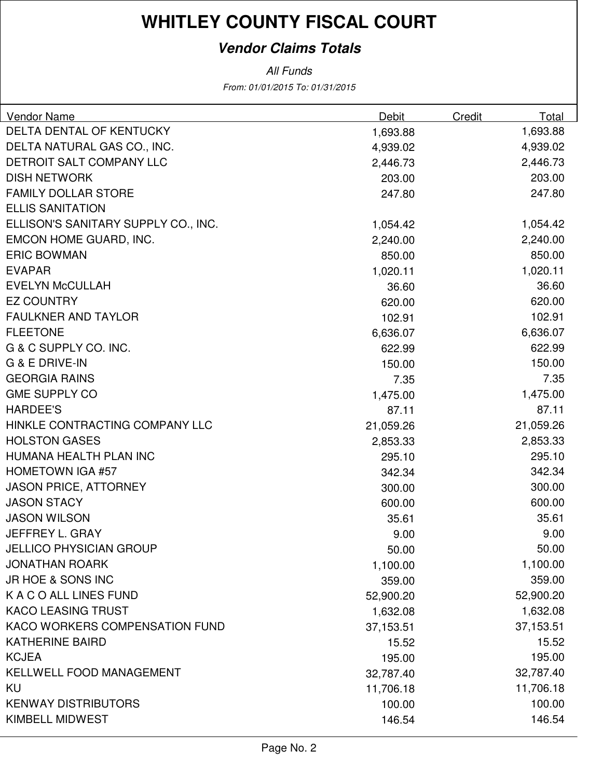## **Vendor Claims Totals**

From: 01/01/2015 To: 01/31/2015 All Funds

| <b>Vendor Name</b>                  | Debit     | Credit | Total     |
|-------------------------------------|-----------|--------|-----------|
| DELTA DENTAL OF KENTUCKY            | 1,693.88  |        | 1,693.88  |
| DELTA NATURAL GAS CO., INC.         | 4,939.02  |        | 4,939.02  |
| <b>DETROIT SALT COMPANY LLC</b>     | 2,446.73  |        | 2,446.73  |
| <b>DISH NETWORK</b>                 | 203.00    |        | 203.00    |
| <b>FAMILY DOLLAR STORE</b>          | 247.80    |        | 247.80    |
| <b>ELLIS SANITATION</b>             |           |        |           |
| ELLISON'S SANITARY SUPPLY CO., INC. | 1,054.42  |        | 1,054.42  |
| EMCON HOME GUARD, INC.              | 2,240.00  |        | 2,240.00  |
| <b>ERIC BOWMAN</b>                  | 850.00    |        | 850.00    |
| <b>EVAPAR</b>                       | 1,020.11  |        | 1,020.11  |
| <b>EVELYN McCULLAH</b>              | 36.60     |        | 36.60     |
| <b>EZ COUNTRY</b>                   | 620.00    |        | 620.00    |
| <b>FAULKNER AND TAYLOR</b>          | 102.91    |        | 102.91    |
| <b>FLEETONE</b>                     | 6,636.07  |        | 6,636.07  |
| G & C SUPPLY CO. INC.               | 622.99    |        | 622.99    |
| G & E DRIVE-IN                      | 150.00    |        | 150.00    |
| <b>GEORGIA RAINS</b>                | 7.35      |        | 7.35      |
| <b>GME SUPPLY CO</b>                | 1,475.00  |        | 1,475.00  |
| <b>HARDEE'S</b>                     | 87.11     |        | 87.11     |
| HINKLE CONTRACTING COMPANY LLC      | 21,059.26 |        | 21,059.26 |
| <b>HOLSTON GASES</b>                | 2,853.33  |        | 2,853.33  |
| HUMANA HEALTH PLAN INC              | 295.10    |        | 295.10    |
| <b>HOMETOWN IGA #57</b>             | 342.34    |        | 342.34    |
| <b>JASON PRICE, ATTORNEY</b>        | 300.00    |        | 300.00    |
| <b>JASON STACY</b>                  | 600.00    |        | 600.00    |
| <b>JASON WILSON</b>                 | 35.61     |        | 35.61     |
| JEFFREY L. GRAY                     | 9.00      |        | 9.00      |
| <b>JELLICO PHYSICIAN GROUP</b>      | 50.00     |        | 50.00     |
| <b>JONATHAN ROARK</b>               | 1,100.00  |        | 1,100.00  |
| JR HOE & SONS INC                   | 359.00    |        | 359.00    |
| K A C O ALL LINES FUND              | 52,900.20 |        | 52,900.20 |
| <b>KACO LEASING TRUST</b>           | 1,632.08  |        | 1,632.08  |
| KACO WORKERS COMPENSATION FUND      | 37,153.51 |        | 37,153.51 |
| <b>KATHERINE BAIRD</b>              | 15.52     |        | 15.52     |
| <b>KCJEA</b>                        | 195.00    |        | 195.00    |
| <b>KELLWELL FOOD MANAGEMENT</b>     | 32,787.40 |        | 32,787.40 |
| KU                                  | 11,706.18 |        | 11,706.18 |
| <b>KENWAY DISTRIBUTORS</b>          | 100.00    |        | 100.00    |
| <b>KIMBELL MIDWEST</b>              | 146.54    |        | 146.54    |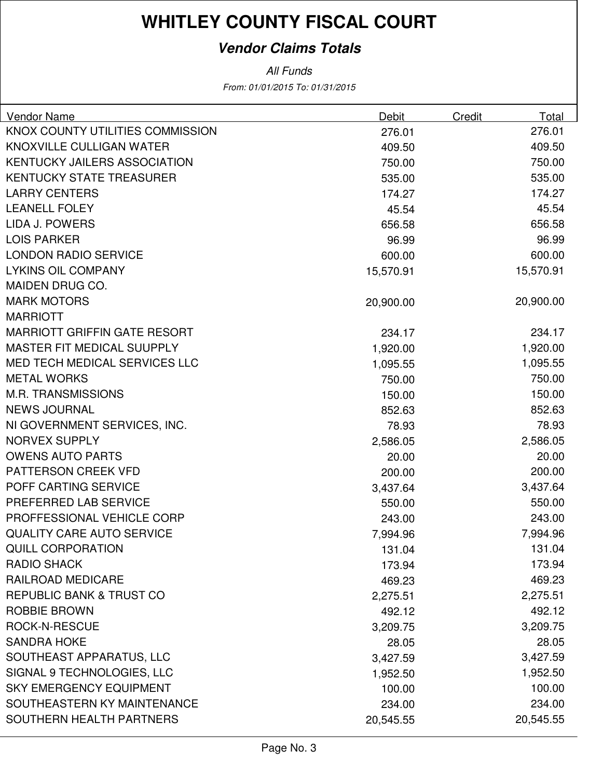## **Vendor Claims Totals**

#### All Funds

From: 01/01/2015 To: 01/31/2015

| Vendor Name                         | Debit     | Credit | Total     |
|-------------------------------------|-----------|--------|-----------|
| KNOX COUNTY UTILITIES COMMISSION    | 276.01    |        | 276.01    |
| KNOXVILLE CULLIGAN WATER            | 409.50    |        | 409.50    |
| <b>KENTUCKY JAILERS ASSOCIATION</b> | 750.00    |        | 750.00    |
| <b>KENTUCKY STATE TREASURER</b>     | 535.00    |        | 535.00    |
| <b>LARRY CENTERS</b>                | 174.27    |        | 174.27    |
| <b>LEANELL FOLEY</b>                | 45.54     |        | 45.54     |
| <b>LIDA J. POWERS</b>               | 656.58    |        | 656.58    |
| <b>LOIS PARKER</b>                  | 96.99     |        | 96.99     |
| <b>LONDON RADIO SERVICE</b>         | 600.00    |        | 600.00    |
| <b>LYKINS OIL COMPANY</b>           | 15,570.91 |        | 15,570.91 |
| MAIDEN DRUG CO.                     |           |        |           |
| <b>MARK MOTORS</b>                  | 20,900.00 |        | 20,900.00 |
| <b>MARRIOTT</b>                     |           |        |           |
| <b>MARRIOTT GRIFFIN GATE RESORT</b> | 234.17    |        | 234.17    |
| <b>MASTER FIT MEDICAL SUUPPLY</b>   | 1,920.00  |        | 1,920.00  |
| MED TECH MEDICAL SERVICES LLC       | 1,095.55  |        | 1,095.55  |
| <b>METAL WORKS</b>                  | 750.00    |        | 750.00    |
| <b>M.R. TRANSMISSIONS</b>           | 150.00    |        | 150.00    |
| <b>NEWS JOURNAL</b>                 | 852.63    |        | 852.63    |
| NI GOVERNMENT SERVICES, INC.        | 78.93     |        | 78.93     |
| <b>NORVEX SUPPLY</b>                | 2,586.05  |        | 2,586.05  |
| <b>OWENS AUTO PARTS</b>             | 20.00     |        | 20.00     |
| PATTERSON CREEK VFD                 | 200.00    |        | 200.00    |
| POFF CARTING SERVICE                | 3,437.64  |        | 3,437.64  |
| PREFERRED LAB SERVICE               | 550.00    |        | 550.00    |
| PROFFESSIONAL VEHICLE CORP          | 243.00    |        | 243.00    |
| <b>QUALITY CARE AUTO SERVICE</b>    | 7,994.96  |        | 7,994.96  |
| <b>QUILL CORPORATION</b>            | 131.04    |        | 131.04    |
| <b>RADIO SHACK</b>                  | 173.94    |        | 173.94    |
| RAILROAD MEDICARE                   | 469.23    |        | 469.23    |
| <b>REPUBLIC BANK &amp; TRUST CO</b> | 2,275.51  |        | 2,275.51  |
| ROBBIE BROWN                        | 492.12    |        | 492.12    |
| <b>ROCK-N-RESCUE</b>                | 3,209.75  |        | 3,209.75  |
| <b>SANDRA HOKE</b>                  | 28.05     |        | 28.05     |
| SOUTHEAST APPARATUS, LLC            | 3,427.59  |        | 3,427.59  |
| SIGNAL 9 TECHNOLOGIES, LLC          | 1,952.50  |        | 1,952.50  |
| <b>SKY EMERGENCY EQUIPMENT</b>      | 100.00    |        | 100.00    |
| SOUTHEASTERN KY MAINTENANCE         | 234.00    |        | 234.00    |
| SOUTHERN HEALTH PARTNERS            | 20,545.55 |        | 20,545.55 |